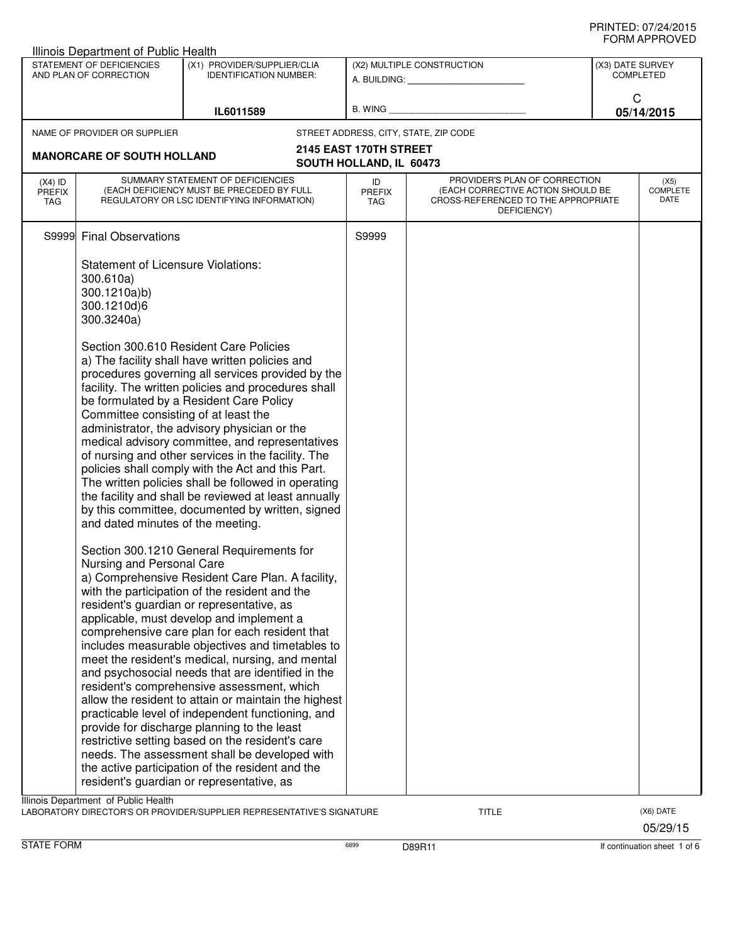|                                   | Illinois Department of Public Health                                                                |                                                                                                                                                                                                                                                                                                                                                                                                                                                                                                                                                                                                                                                                                                                                                                                                                                                                         |                                   |                                                                                                                          |                  |                                 |
|-----------------------------------|-----------------------------------------------------------------------------------------------------|-------------------------------------------------------------------------------------------------------------------------------------------------------------------------------------------------------------------------------------------------------------------------------------------------------------------------------------------------------------------------------------------------------------------------------------------------------------------------------------------------------------------------------------------------------------------------------------------------------------------------------------------------------------------------------------------------------------------------------------------------------------------------------------------------------------------------------------------------------------------------|-----------------------------------|--------------------------------------------------------------------------------------------------------------------------|------------------|---------------------------------|
|                                   | STATEMENT OF DEFICIENCIES<br>AND PLAN OF CORRECTION                                                 | (X1) PROVIDER/SUPPLIER/CLIA<br><b>IDENTIFICATION NUMBER:</b>                                                                                                                                                                                                                                                                                                                                                                                                                                                                                                                                                                                                                                                                                                                                                                                                            |                                   | (X2) MULTIPLE CONSTRUCTION                                                                                               | (X3) DATE SURVEY | <b>COMPLETED</b>                |
|                                   |                                                                                                     | IL6011589                                                                                                                                                                                                                                                                                                                                                                                                                                                                                                                                                                                                                                                                                                                                                                                                                                                               | <b>B. WING</b>                    |                                                                                                                          | C                | 05/14/2015                      |
|                                   | NAME OF PROVIDER OR SUPPLIER                                                                        |                                                                                                                                                                                                                                                                                                                                                                                                                                                                                                                                                                                                                                                                                                                                                                                                                                                                         |                                   | STREET ADDRESS, CITY, STATE, ZIP CODE                                                                                    |                  |                                 |
|                                   | <b>MANORCARE OF SOUTH HOLLAND</b>                                                                   |                                                                                                                                                                                                                                                                                                                                                                                                                                                                                                                                                                                                                                                                                                                                                                                                                                                                         | 2145 EAST 170TH STREET            |                                                                                                                          |                  |                                 |
|                                   |                                                                                                     |                                                                                                                                                                                                                                                                                                                                                                                                                                                                                                                                                                                                                                                                                                                                                                                                                                                                         | SOUTH HOLLAND, IL 60473           |                                                                                                                          |                  |                                 |
| $(X4)$ ID<br><b>PREFIX</b><br>TAG |                                                                                                     | SUMMARY STATEMENT OF DEFICIENCIES<br>(EACH DEFICIENCY MUST BE PRECEDED BY FULL<br>REGULATORY OR LSC IDENTIFYING INFORMATION)                                                                                                                                                                                                                                                                                                                                                                                                                                                                                                                                                                                                                                                                                                                                            | ID<br><b>PREFIX</b><br><b>TAG</b> | PROVIDER'S PLAN OF CORRECTION<br>(EACH CORRECTIVE ACTION SHOULD BE<br>CROSS-REFERENCED TO THE APPROPRIATE<br>DEFICIENCY) |                  | (X5)<br><b>COMPLETE</b><br>DATE |
|                                   | S9999 Final Observations                                                                            |                                                                                                                                                                                                                                                                                                                                                                                                                                                                                                                                                                                                                                                                                                                                                                                                                                                                         | S9999                             |                                                                                                                          |                  |                                 |
|                                   | <b>Statement of Licensure Violations:</b><br>300.610a)<br>300.1210a)b)<br>300.1210d)6<br>300.3240a) |                                                                                                                                                                                                                                                                                                                                                                                                                                                                                                                                                                                                                                                                                                                                                                                                                                                                         |                                   |                                                                                                                          |                  |                                 |
|                                   | Committee consisting of at least the<br>and dated minutes of the meeting.                           | Section 300.610 Resident Care Policies<br>a) The facility shall have written policies and<br>procedures governing all services provided by the<br>facility. The written policies and procedures shall<br>be formulated by a Resident Care Policy<br>administrator, the advisory physician or the<br>medical advisory committee, and representatives<br>of nursing and other services in the facility. The<br>policies shall comply with the Act and this Part.<br>The written policies shall be followed in operating<br>the facility and shall be reviewed at least annually<br>by this committee, documented by written, signed                                                                                                                                                                                                                                       |                                   |                                                                                                                          |                  |                                 |
|                                   | Nursing and Personal Care                                                                           | Section 300.1210 General Requirements for<br>a) Comprehensive Resident Care Plan. A facility,<br>with the participation of the resident and the<br>resident's guardian or representative, as<br>applicable, must develop and implement a<br>comprehensive care plan for each resident that<br>includes measurable objectives and timetables to<br>meet the resident's medical, nursing, and mental<br>and psychosocial needs that are identified in the<br>resident's comprehensive assessment, which<br>allow the resident to attain or maintain the highest<br>practicable level of independent functioning, and<br>provide for discharge planning to the least<br>restrictive setting based on the resident's care<br>needs. The assessment shall be developed with<br>the active participation of the resident and the<br>resident's guardian or representative, as |                                   |                                                                                                                          |                  |                                 |
|                                   | Illinois Department of Public Health                                                                | LABORATORY DIRECTOR'S OR PROVIDER/SUPPLIER REPRESENTATIVE'S SIGNATURE                                                                                                                                                                                                                                                                                                                                                                                                                                                                                                                                                                                                                                                                                                                                                                                                   |                                   | TITLE                                                                                                                    |                  | (X6) DATE                       |

05/29/15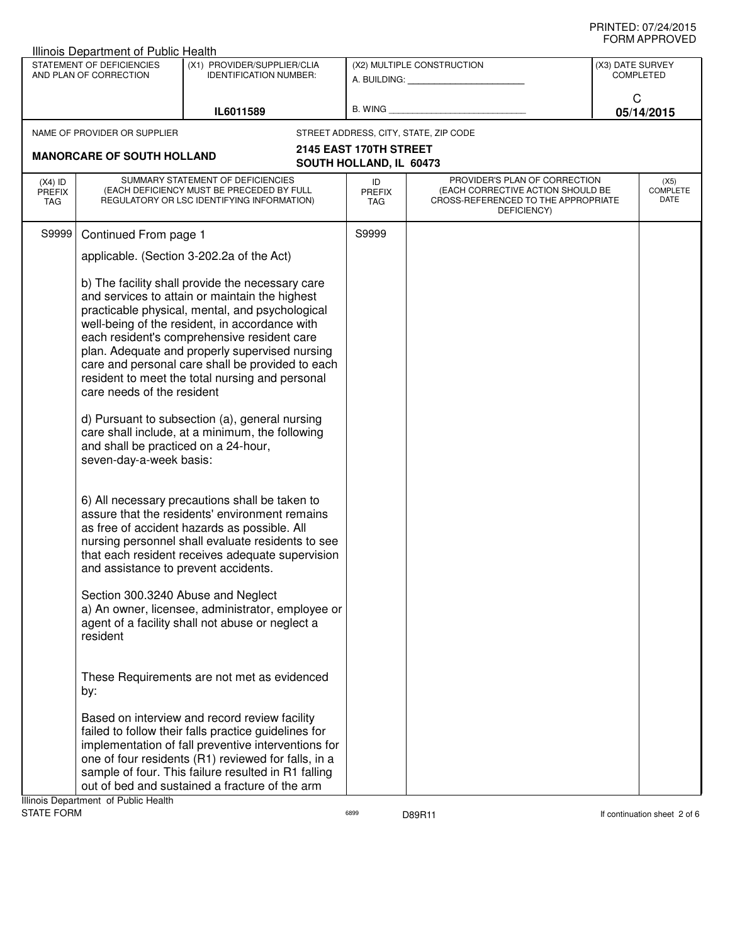## PRINTED: 07/24/2015 FORM APPROVED

|                                                     | Illinois Department of Public Health                                                          |                                                                                                                                                                                                                                                                                                                                                                                                                                                                                                                      |                                                         |                                                                                                                          |                                      |  |
|-----------------------------------------------------|-----------------------------------------------------------------------------------------------|----------------------------------------------------------------------------------------------------------------------------------------------------------------------------------------------------------------------------------------------------------------------------------------------------------------------------------------------------------------------------------------------------------------------------------------------------------------------------------------------------------------------|---------------------------------------------------------|--------------------------------------------------------------------------------------------------------------------------|--------------------------------------|--|
| STATEMENT OF DEFICIENCIES<br>AND PLAN OF CORRECTION |                                                                                               | (X1) PROVIDER/SUPPLIER/CLIA<br><b>IDENTIFICATION NUMBER:</b>                                                                                                                                                                                                                                                                                                                                                                                                                                                         | (X2) MULTIPLE CONSTRUCTION<br>A. BUILDING: A. BUILDING: |                                                                                                                          | (X3) DATE SURVEY<br><b>COMPLETED</b> |  |
|                                                     |                                                                                               | IL6011589                                                                                                                                                                                                                                                                                                                                                                                                                                                                                                            | B. WING                                                 |                                                                                                                          | C<br>05/14/2015                      |  |
|                                                     | NAME OF PROVIDER OR SUPPLIER                                                                  |                                                                                                                                                                                                                                                                                                                                                                                                                                                                                                                      | STREET ADDRESS, CITY, STATE, ZIP CODE                   |                                                                                                                          |                                      |  |
|                                                     | <b>MANORCARE OF SOUTH HOLLAND</b>                                                             |                                                                                                                                                                                                                                                                                                                                                                                                                                                                                                                      | 2145 EAST 170TH STREET                                  |                                                                                                                          |                                      |  |
|                                                     |                                                                                               |                                                                                                                                                                                                                                                                                                                                                                                                                                                                                                                      | SOUTH HOLLAND, IL 60473                                 |                                                                                                                          |                                      |  |
| $(X4)$ ID<br><b>PREFIX</b><br>TAG                   |                                                                                               | SUMMARY STATEMENT OF DEFICIENCIES<br>(EACH DEFICIENCY MUST BE PRECEDED BY FULL<br>REGULATORY OR LSC IDENTIFYING INFORMATION)                                                                                                                                                                                                                                                                                                                                                                                         | ID<br><b>PREFIX</b><br><b>TAG</b>                       | PROVIDER'S PLAN OF CORRECTION<br>(EACH CORRECTIVE ACTION SHOULD BE<br>CROSS-REFERENCED TO THE APPROPRIATE<br>DEFICIENCY) | (X5)<br><b>COMPLETE</b><br>DATE      |  |
| S9999                                               | Continued From page 1                                                                         |                                                                                                                                                                                                                                                                                                                                                                                                                                                                                                                      | S9999                                                   |                                                                                                                          |                                      |  |
|                                                     |                                                                                               | applicable. (Section 3-202.2a of the Act)                                                                                                                                                                                                                                                                                                                                                                                                                                                                            |                                                         |                                                                                                                          |                                      |  |
|                                                     | care needs of the resident<br>and shall be practiced on a 24-hour,<br>seven-day-a-week basis: | b) The facility shall provide the necessary care<br>and services to attain or maintain the highest<br>practicable physical, mental, and psychological<br>well-being of the resident, in accordance with<br>each resident's comprehensive resident care<br>plan. Adequate and properly supervised nursing<br>care and personal care shall be provided to each<br>resident to meet the total nursing and personal<br>d) Pursuant to subsection (a), general nursing<br>care shall include, at a minimum, the following |                                                         |                                                                                                                          |                                      |  |
|                                                     | and assistance to prevent accidents.                                                          | 6) All necessary precautions shall be taken to<br>assure that the residents' environment remains<br>as free of accident hazards as possible. All<br>nursing personnel shall evaluate residents to see<br>that each resident receives adequate supervision<br>Section 300.3240 Abuse and Neglect                                                                                                                                                                                                                      |                                                         |                                                                                                                          |                                      |  |
|                                                     | resident                                                                                      | a) An owner, licensee, administrator, employee or<br>agent of a facility shall not abuse or neglect a                                                                                                                                                                                                                                                                                                                                                                                                                |                                                         |                                                                                                                          |                                      |  |
|                                                     | by:                                                                                           | These Requirements are not met as evidenced                                                                                                                                                                                                                                                                                                                                                                                                                                                                          |                                                         |                                                                                                                          |                                      |  |
|                                                     | Illinois Department of Public Health                                                          | Based on interview and record review facility<br>failed to follow their falls practice guidelines for<br>implementation of fall preventive interventions for<br>one of four residents (R1) reviewed for falls, in a<br>sample of four. This failure resulted in R1 falling<br>out of bed and sustained a fracture of the arm                                                                                                                                                                                         |                                                         |                                                                                                                          |                                      |  |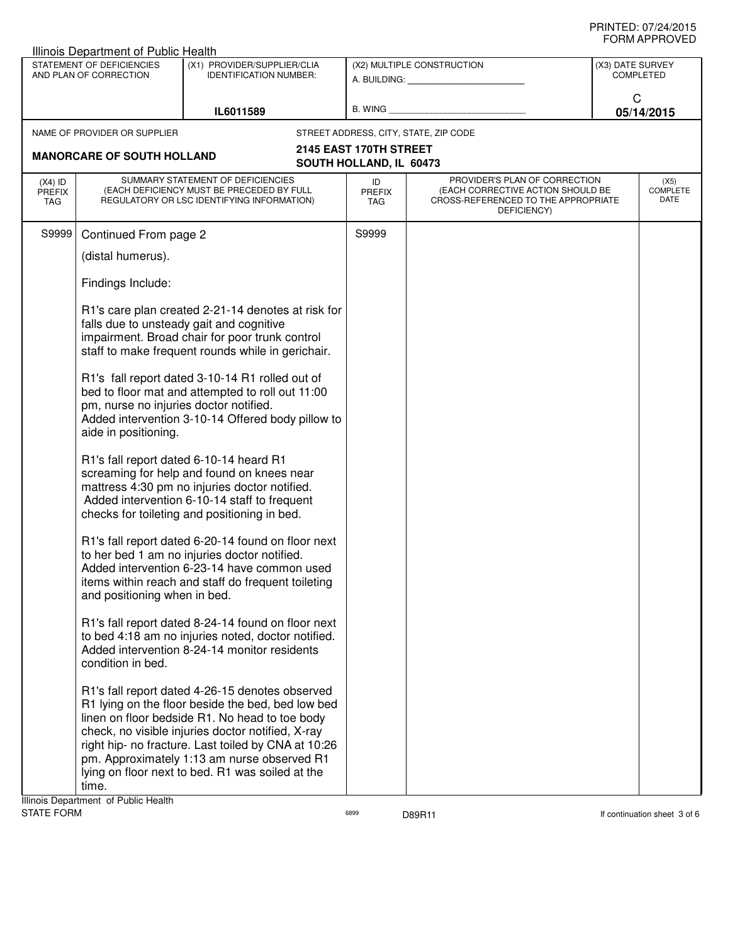|                                   | <b>Illinois Department of Public Health</b>                    |                                                                                                                                                                                                                                                                                                                                                                       |                                                   |                                                                                                                          |                                      |                          |  |
|-----------------------------------|----------------------------------------------------------------|-----------------------------------------------------------------------------------------------------------------------------------------------------------------------------------------------------------------------------------------------------------------------------------------------------------------------------------------------------------------------|---------------------------------------------------|--------------------------------------------------------------------------------------------------------------------------|--------------------------------------|--------------------------|--|
|                                   | STATEMENT OF DEFICIENCIES<br>AND PLAN OF CORRECTION            | (X1) PROVIDER/SUPPLIER/CLIA<br><b>IDENTIFICATION NUMBER:</b>                                                                                                                                                                                                                                                                                                          |                                                   | (X2) MULTIPLE CONSTRUCTION<br>A. BUILDING: A. BUILDING:                                                                  | (X3) DATE SURVEY<br><b>COMPLETED</b> |                          |  |
|                                   |                                                                | IL6011589                                                                                                                                                                                                                                                                                                                                                             |                                                   | B. WING <b>Example 2008</b>                                                                                              | C<br>05/14/2015                      |                          |  |
|                                   | NAME OF PROVIDER OR SUPPLIER                                   |                                                                                                                                                                                                                                                                                                                                                                       |                                                   | STREET ADDRESS, CITY, STATE, ZIP CODE                                                                                    |                                      |                          |  |
|                                   | <b>MANORCARE OF SOUTH HOLLAND</b>                              |                                                                                                                                                                                                                                                                                                                                                                       | 2145 EAST 170TH STREET<br>SOUTH HOLLAND, IL 60473 |                                                                                                                          |                                      |                          |  |
| $(X4)$ ID<br><b>PREFIX</b><br>TAG |                                                                | SUMMARY STATEMENT OF DEFICIENCIES<br>(EACH DEFICIENCY MUST BE PRECEDED BY FULL<br>REGULATORY OR LSC IDENTIFYING INFORMATION)                                                                                                                                                                                                                                          | ID<br><b>PREFIX</b><br>TAG                        | PROVIDER'S PLAN OF CORRECTION<br>(EACH CORRECTIVE ACTION SHOULD BE<br>CROSS-REFERENCED TO THE APPROPRIATE<br>DEFICIENCY) |                                      | (X5)<br>COMPLETE<br>DATE |  |
| S9999                             | Continued From page 2                                          |                                                                                                                                                                                                                                                                                                                                                                       | S9999                                             |                                                                                                                          |                                      |                          |  |
|                                   | (distal humerus).                                              |                                                                                                                                                                                                                                                                                                                                                                       |                                                   |                                                                                                                          |                                      |                          |  |
|                                   | Findings Include:                                              |                                                                                                                                                                                                                                                                                                                                                                       |                                                   |                                                                                                                          |                                      |                          |  |
|                                   |                                                                | R1's care plan created 2-21-14 denotes at risk for<br>falls due to unsteady gait and cognitive<br>impairment. Broad chair for poor trunk control<br>staff to make frequent rounds while in gerichair.                                                                                                                                                                 |                                                   |                                                                                                                          |                                      |                          |  |
|                                   | pm, nurse no injuries doctor notified.<br>aide in positioning. | R1's fall report dated 3-10-14 R1 rolled out of<br>bed to floor mat and attempted to roll out 11:00<br>Added intervention 3-10-14 Offered body pillow to                                                                                                                                                                                                              |                                                   |                                                                                                                          |                                      |                          |  |
|                                   |                                                                | R1's fall report dated 6-10-14 heard R1<br>screaming for help and found on knees near<br>mattress 4:30 pm no injuries doctor notified.<br>Added intervention 6-10-14 staff to frequent<br>checks for toileting and positioning in bed.                                                                                                                                |                                                   |                                                                                                                          |                                      |                          |  |
|                                   | and positioning when in bed.                                   | R1's fall report dated 6-20-14 found on floor next<br>to her bed 1 am no injuries doctor notified.<br>Added intervention 6-23-14 have common used<br>items within reach and staff do frequent toileting                                                                                                                                                               |                                                   |                                                                                                                          |                                      |                          |  |
|                                   | condition in bed.                                              | R1's fall report dated 8-24-14 found on floor next<br>to bed 4:18 am no injuries noted, doctor notified.<br>Added intervention 8-24-14 monitor residents                                                                                                                                                                                                              |                                                   |                                                                                                                          |                                      |                          |  |
|                                   | time.<br>Illinois Denartment, of Public Health                 | R1's fall report dated 4-26-15 denotes observed<br>R1 lying on the floor beside the bed, bed low bed<br>linen on floor bedside R1. No head to toe body<br>check, no visible injuries doctor notified, X-ray<br>right hip- no fracture. Last toiled by CNA at 10:26<br>pm. Approximately 1:13 am nurse observed R1<br>lying on floor next to bed. R1 was soiled at the |                                                   |                                                                                                                          |                                      |                          |  |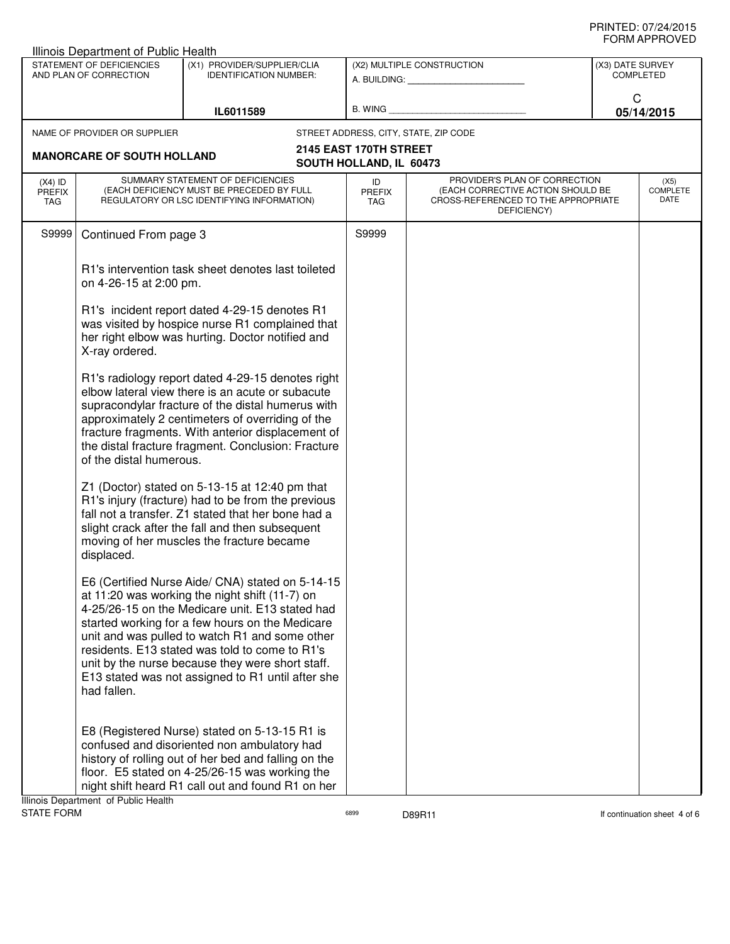|                                                     | Illinois Department of Public Health |                                                                                                                                                                                                                                                                                                                                                                                                                       |                                       |                                                                                                                          | (X3) DATE SURVEY |                                 |
|-----------------------------------------------------|--------------------------------------|-----------------------------------------------------------------------------------------------------------------------------------------------------------------------------------------------------------------------------------------------------------------------------------------------------------------------------------------------------------------------------------------------------------------------|---------------------------------------|--------------------------------------------------------------------------------------------------------------------------|------------------|---------------------------------|
| STATEMENT OF DEFICIENCIES<br>AND PLAN OF CORRECTION |                                      | (X1) PROVIDER/SUPPLIER/CLIA<br><b>IDENTIFICATION NUMBER:</b>                                                                                                                                                                                                                                                                                                                                                          |                                       | (X2) MULTIPLE CONSTRUCTION<br>A. BUILDING: A. BUILDING:                                                                  |                  |                                 |
|                                                     |                                      |                                                                                                                                                                                                                                                                                                                                                                                                                       |                                       |                                                                                                                          |                  | C                               |
|                                                     |                                      | IL6011589                                                                                                                                                                                                                                                                                                                                                                                                             | B. WING                               |                                                                                                                          |                  | 05/14/2015                      |
|                                                     | NAME OF PROVIDER OR SUPPLIER         |                                                                                                                                                                                                                                                                                                                                                                                                                       | STREET ADDRESS, CITY, STATE, ZIP CODE |                                                                                                                          |                  |                                 |
|                                                     | <b>MANORCARE OF SOUTH HOLLAND</b>    |                                                                                                                                                                                                                                                                                                                                                                                                                       | 2145 EAST 170TH STREET                |                                                                                                                          |                  |                                 |
|                                                     |                                      |                                                                                                                                                                                                                                                                                                                                                                                                                       | SOUTH HOLLAND, IL 60473               |                                                                                                                          |                  |                                 |
| $(X4)$ ID<br><b>PREFIX</b><br><b>TAG</b>            |                                      | SUMMARY STATEMENT OF DEFICIENCIES<br>(EACH DEFICIENCY MUST BE PRECEDED BY FULL<br>REGULATORY OR LSC IDENTIFYING INFORMATION)                                                                                                                                                                                                                                                                                          | ID<br><b>PREFIX</b><br><b>TAG</b>     | PROVIDER'S PLAN OF CORRECTION<br>(EACH CORRECTIVE ACTION SHOULD BE<br>CROSS-REFERENCED TO THE APPROPRIATE<br>DEFICIENCY) |                  | (X5)<br><b>COMPLETE</b><br>DATE |
| S9999                                               | Continued From page 3                |                                                                                                                                                                                                                                                                                                                                                                                                                       | S9999                                 |                                                                                                                          |                  |                                 |
|                                                     | on 4-26-15 at 2:00 pm.               | R1's intervention task sheet denotes last toileted                                                                                                                                                                                                                                                                                                                                                                    |                                       |                                                                                                                          |                  |                                 |
|                                                     | X-ray ordered.                       | R1's incident report dated 4-29-15 denotes R1<br>was visited by hospice nurse R1 complained that<br>her right elbow was hurting. Doctor notified and                                                                                                                                                                                                                                                                  |                                       |                                                                                                                          |                  |                                 |
|                                                     | of the distal humerous.              | R1's radiology report dated 4-29-15 denotes right<br>elbow lateral view there is an acute or subacute<br>supracondylar fracture of the distal humerus with<br>approximately 2 centimeters of overriding of the<br>fracture fragments. With anterior displacement of<br>the distal fracture fragment. Conclusion: Fracture                                                                                             |                                       |                                                                                                                          |                  |                                 |
|                                                     | displaced.                           | Z1 (Doctor) stated on 5-13-15 at 12:40 pm that<br>R1's injury (fracture) had to be from the previous<br>fall not a transfer. Z1 stated that her bone had a<br>slight crack after the fall and then subsequent<br>moving of her muscles the fracture became                                                                                                                                                            |                                       |                                                                                                                          |                  |                                 |
|                                                     | had fallen.                          | E6 (Certified Nurse Aide/ CNA) stated on 5-14-15<br>at 11:20 was working the night shift (11-7) on<br>4-25/26-15 on the Medicare unit. E13 stated had<br>started working for a few hours on the Medicare<br>unit and was pulled to watch R1 and some other<br>residents. E13 stated was told to come to R1's<br>unit by the nurse because they were short staff.<br>E13 stated was not assigned to R1 until after she |                                       |                                                                                                                          |                  |                                 |
|                                                     | Illinois Department of Public Health | E8 (Registered Nurse) stated on 5-13-15 R1 is<br>confused and disoriented non ambulatory had<br>history of rolling out of her bed and falling on the<br>floor. E5 stated on 4-25/26-15 was working the<br>night shift heard R1 call out and found R1 on her                                                                                                                                                           |                                       |                                                                                                                          |                  |                                 |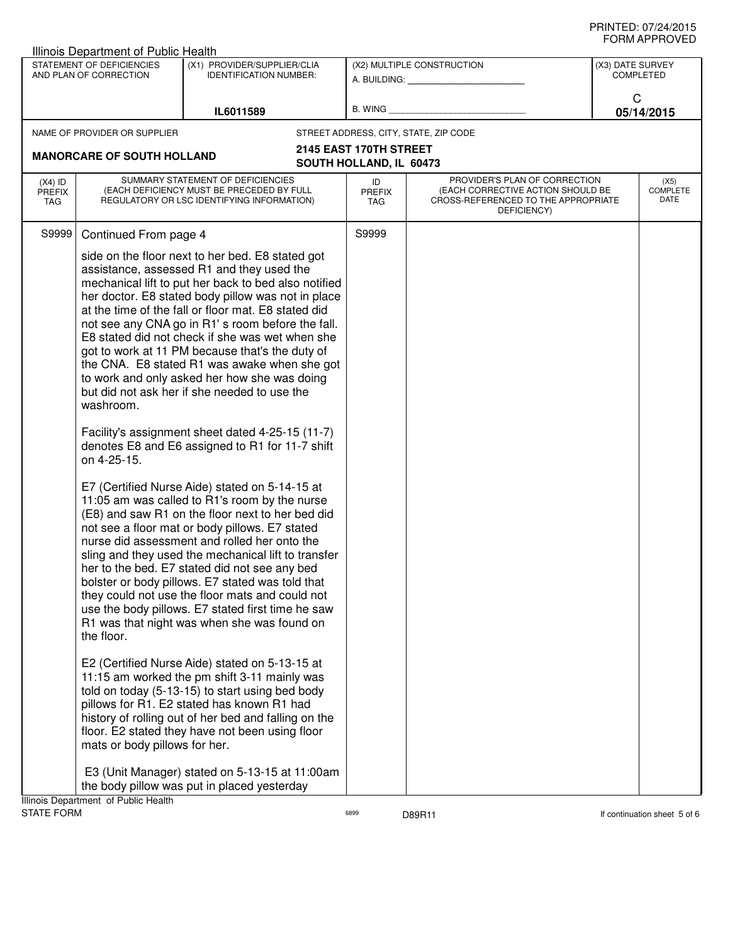## PRINTED: 07/24/2015 FORM APPROVED

| Illinois Department of Public Health                                    |                                                                                                                                                                                                                                                                                                                                                                                                                                                                                                                                                                                                                                                                                                                                                                                                                                                                                                                                                                                                                                                                                                                                                                                                                                                                                                                                                                                                                                                                                                                                                                               |                            |                                                                                                                          |                                      |  |
|-------------------------------------------------------------------------|-------------------------------------------------------------------------------------------------------------------------------------------------------------------------------------------------------------------------------------------------------------------------------------------------------------------------------------------------------------------------------------------------------------------------------------------------------------------------------------------------------------------------------------------------------------------------------------------------------------------------------------------------------------------------------------------------------------------------------------------------------------------------------------------------------------------------------------------------------------------------------------------------------------------------------------------------------------------------------------------------------------------------------------------------------------------------------------------------------------------------------------------------------------------------------------------------------------------------------------------------------------------------------------------------------------------------------------------------------------------------------------------------------------------------------------------------------------------------------------------------------------------------------------------------------------------------------|----------------------------|--------------------------------------------------------------------------------------------------------------------------|--------------------------------------|--|
| STATEMENT OF DEFICIENCIES<br>AND PLAN OF CORRECTION                     | (X1) PROVIDER/SUPPLIER/CLIA<br><b>IDENTIFICATION NUMBER:</b>                                                                                                                                                                                                                                                                                                                                                                                                                                                                                                                                                                                                                                                                                                                                                                                                                                                                                                                                                                                                                                                                                                                                                                                                                                                                                                                                                                                                                                                                                                                  |                            | (X2) MULTIPLE CONSTRUCTION<br>A. BUILDING: A. BUILDING:                                                                  | (X3) DATE SURVEY<br><b>COMPLETED</b> |  |
|                                                                         | IL6011589                                                                                                                                                                                                                                                                                                                                                                                                                                                                                                                                                                                                                                                                                                                                                                                                                                                                                                                                                                                                                                                                                                                                                                                                                                                                                                                                                                                                                                                                                                                                                                     | B. WING                    |                                                                                                                          | C<br>05/14/2015                      |  |
| NAME OF PROVIDER OR SUPPLIER                                            |                                                                                                                                                                                                                                                                                                                                                                                                                                                                                                                                                                                                                                                                                                                                                                                                                                                                                                                                                                                                                                                                                                                                                                                                                                                                                                                                                                                                                                                                                                                                                                               |                            | STREET ADDRESS, CITY, STATE, ZIP CODE                                                                                    |                                      |  |
| <b>MANORCARE OF SOUTH HOLLAND</b>                                       |                                                                                                                                                                                                                                                                                                                                                                                                                                                                                                                                                                                                                                                                                                                                                                                                                                                                                                                                                                                                                                                                                                                                                                                                                                                                                                                                                                                                                                                                                                                                                                               | 2145 EAST 170TH STREET     |                                                                                                                          |                                      |  |
|                                                                         |                                                                                                                                                                                                                                                                                                                                                                                                                                                                                                                                                                                                                                                                                                                                                                                                                                                                                                                                                                                                                                                                                                                                                                                                                                                                                                                                                                                                                                                                                                                                                                               | SOUTH HOLLAND, IL 60473    |                                                                                                                          |                                      |  |
| $(X4)$ ID<br><b>PREFIX</b><br>TAG                                       | SUMMARY STATEMENT OF DEFICIENCIES<br>(EACH DEFICIENCY MUST BE PRECEDED BY FULL<br>REGULATORY OR LSC IDENTIFYING INFORMATION)                                                                                                                                                                                                                                                                                                                                                                                                                                                                                                                                                                                                                                                                                                                                                                                                                                                                                                                                                                                                                                                                                                                                                                                                                                                                                                                                                                                                                                                  | ID<br><b>PREFIX</b><br>TAG | PROVIDER'S PLAN OF CORRECTION<br>(EACH CORRECTIVE ACTION SHOULD BE<br>CROSS-REFERENCED TO THE APPROPRIATE<br>DEFICIENCY) | (X5)<br><b>COMPLETE</b><br>DATE      |  |
| S9999<br>Continued From page 4                                          |                                                                                                                                                                                                                                                                                                                                                                                                                                                                                                                                                                                                                                                                                                                                                                                                                                                                                                                                                                                                                                                                                                                                                                                                                                                                                                                                                                                                                                                                                                                                                                               | S9999                      |                                                                                                                          |                                      |  |
| washroom.<br>on 4-25-15.<br>the floor.<br>mats or body pillows for her. | side on the floor next to her bed. E8 stated got<br>assistance, assessed R1 and they used the<br>mechanical lift to put her back to bed also notified<br>her doctor. E8 stated body pillow was not in place<br>at the time of the fall or floor mat. E8 stated did<br>not see any CNA go in R1's room before the fall.<br>E8 stated did not check if she was wet when she<br>got to work at 11 PM because that's the duty of<br>the CNA. E8 stated R1 was awake when she got<br>to work and only asked her how she was doing<br>but did not ask her if she needed to use the<br>Facility's assignment sheet dated 4-25-15 (11-7)<br>denotes E8 and E6 assigned to R1 for 11-7 shift<br>E7 (Certified Nurse Aide) stated on 5-14-15 at<br>11:05 am was called to R1's room by the nurse<br>(E8) and saw R1 on the floor next to her bed did<br>not see a floor mat or body pillows. E7 stated<br>nurse did assessment and rolled her onto the<br>sling and they used the mechanical lift to transfer<br>her to the bed. E7 stated did not see any bed<br>bolster or body pillows. E7 stated was told that<br>they could not use the floor mats and could not<br>use the body pillows. E7 stated first time he saw<br>R1 was that night was when she was found on<br>E2 (Certified Nurse Aide) stated on 5-13-15 at<br>11:15 am worked the pm shift 3-11 mainly was<br>told on today (5-13-15) to start using bed body<br>pillows for R1. E2 stated has known R1 had<br>history of rolling out of her bed and falling on the<br>floor. E2 stated they have not been using floor |                            |                                                                                                                          |                                      |  |
|                                                                         | E3 (Unit Manager) stated on 5-13-15 at 11:00am<br>the body pillow was put in placed yesterday                                                                                                                                                                                                                                                                                                                                                                                                                                                                                                                                                                                                                                                                                                                                                                                                                                                                                                                                                                                                                                                                                                                                                                                                                                                                                                                                                                                                                                                                                 |                            |                                                                                                                          |                                      |  |
| Illinois Department of Public Health                                    |                                                                                                                                                                                                                                                                                                                                                                                                                                                                                                                                                                                                                                                                                                                                                                                                                                                                                                                                                                                                                                                                                                                                                                                                                                                                                                                                                                                                                                                                                                                                                                               |                            |                                                                                                                          |                                      |  |
| <b>STATE FORM</b>                                                       |                                                                                                                                                                                                                                                                                                                                                                                                                                                                                                                                                                                                                                                                                                                                                                                                                                                                                                                                                                                                                                                                                                                                                                                                                                                                                                                                                                                                                                                                                                                                                                               | 6899                       | D89R11                                                                                                                   | If continuation sheet 5 of 6         |  |